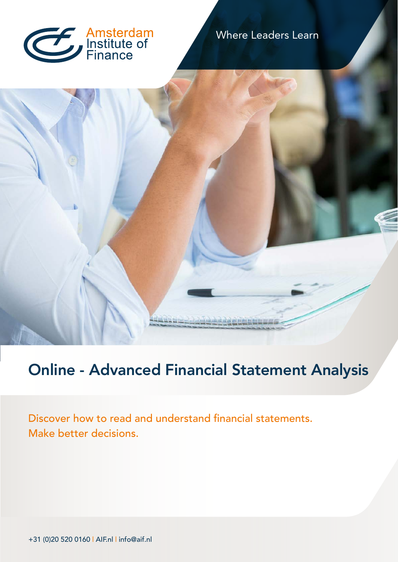

### Where Leaders Learn



# Online - Advanced Financial Statement Analysis

Discover how to read and understand financial statements. Make better decisions.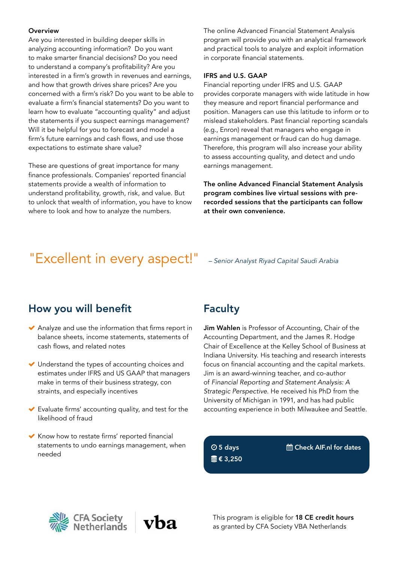#### **Overview**

Are you interested in building deeper skills in analyzing accounting information? Do you want to make smarter financial decisions? Do you need to understand a company's profitability? Are you interested in a firm's growth in revenues and earnings, and how that growth drives share prices? Are you concerned with a firm's risk? Do you want to be able to evaluate a firm's financial statements? Do you want to learn how to evaluate "accounting quality" and adjust the statements if you suspect earnings management? Will it be helpful for you to forecast and model a firm's future earnings and cash flows, and use those expectations to estimate share value?

These are questions of great importance for many finance professionals. Companies' reported financial statements provide a wealth of information to understand profitability, growth, risk, and value. But to unlock that wealth of information, you have to know where to look and how to analyze the numbers.

The online Advanced Financial Statement Analysis program will provide you with an analytical framework and practical tools to analyze and exploit information in corporate financial statements.

#### IFRS and U.S. GAAP

Financial reporting under IFRS and U.S. GAAP provides corporate managers with wide latitude in how they measure and report financial performance and position. Managers can use this latitude to inform or to mislead stakeholders. Past financial reporting scandals (e.g., Enron) reveal that managers who engage in earnings management or fraud can do hug damage. Therefore, this program will also increase your ability to assess accounting quality, and detect and undo earnings management.

The online Advanced Financial Statement Analysis program combines live virtual sessions with prerecorded sessions that the participants can follow at their own convenience.

## "Excellent in every aspect!" *– Senior Analyst Riyad Capital Saudi Arabia*

### How you will benefit

- Analyze and use the information that firms report in balance sheets, income statements, statements of cash flows, and related notes
- ◆ Understand the types of accounting choices and estimates under IFRS and US GAAP that managers make in terms of their business strategy, con straints, and especially incentives
- Evaluate firms' accounting quality, and test for the likelihood of fraud
- $\blacktriangleright$  Know how to restate firms' reported financial statements to undo earnings management, when needed

### Faculty

Jim Wahlen is Professor of Accounting, Chair of the Accounting Department, and the James R. Hodge Chair of Excellence at the Kelley School of Business at Indiana University. His teaching and research interests focus on financial accounting and the capital markets. Jim is an award-winning teacher, and co-author of *Financial Reporting and Statement Analysis: A Strategic Perspective*. He received his PhD from the University of Michigan in 1991, and has had public accounting experience in both Milwaukee and Seattle.

 5 days € 3,250 Check AIF.nl for dates

**CFA Society<br>Netherlands** 



This program is eligible for 18 CE credit hours as granted by CFA Society VBA Netherlands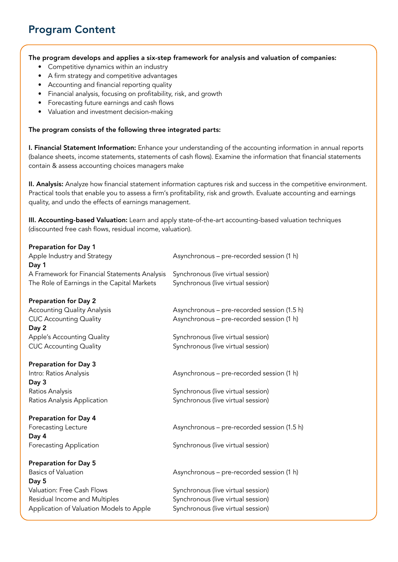### Program Content

### The program develops and applies a six-step framework for analysis and valuation of companies:

- Competitive dynamics within an industry
- A firm strategy and competitive advantages
- Accounting and financial reporting quality
- Financial analysis, focusing on profitability, risk, and growth
- Forecasting future earnings and cash flows
- Valuation and investment decision-making

### The program consists of the following three integrated parts:

I. Financial Statement Information: Enhance your understanding of the accounting information in annual reports (balance sheets, income statements, statements of cash flows). Examine the information that financial statements contain & assess accounting choices managers make

II. Analysis: Analyze how financial statement information captures risk and success in the competitive environment. Practical tools that enable you to assess a firm's profitability, risk and growth. Evaluate accounting and earnings quality, and undo the effects of earnings management.

III. Accounting-based Valuation: Learn and apply state-of-the-art accounting-based valuation techniques (discounted free cash flows, residual income, valuation).

| <b>Preparation for Day 1</b>                  |                                             |
|-----------------------------------------------|---------------------------------------------|
| Apple Industry and Strategy                   | Asynchronous - pre-recorded session (1 h)   |
| Day 1                                         |                                             |
| A Framework for Financial Statements Analysis | Synchronous (live virtual session)          |
| The Role of Earnings in the Capital Markets   | Synchronous (live virtual session)          |
| <b>Preparation for Day 2</b>                  |                                             |
| <b>Accounting Quality Analysis</b>            | Asynchronous - pre-recorded session (1.5 h) |
| <b>CUC Accounting Quality</b><br>Day 2        | Asynchronous - pre-recorded session (1 h)   |
| Apple's Accounting Quality                    | Synchronous (live virtual session)          |
| <b>CUC Accounting Quality</b>                 | Synchronous (live virtual session)          |
| <b>Preparation for Day 3</b>                  |                                             |
| Intro: Ratios Analysis                        | Asynchronous - pre-recorded session (1 h)   |
| Day 3                                         |                                             |
| Ratios Analysis                               | Synchronous (live virtual session)          |
| Ratios Analysis Application                   | Synchronous (live virtual session)          |
| <b>Preparation for Day 4</b>                  |                                             |
| Forecasting Lecture<br>Day 4                  | Asynchronous - pre-recorded session (1.5 h) |
| <b>Forecasting Application</b>                | Synchronous (live virtual session)          |
| <b>Preparation for Day 5</b>                  |                                             |
| <b>Basics of Valuation</b><br>Day 5           | Asynchronous - pre-recorded session (1 h)   |
| Valuation: Free Cash Flows                    | Synchronous (live virtual session)          |
| Residual Income and Multiples                 | Synchronous (live virtual session)          |
| Application of Valuation Models to Apple      | Synchronous (live virtual session)          |